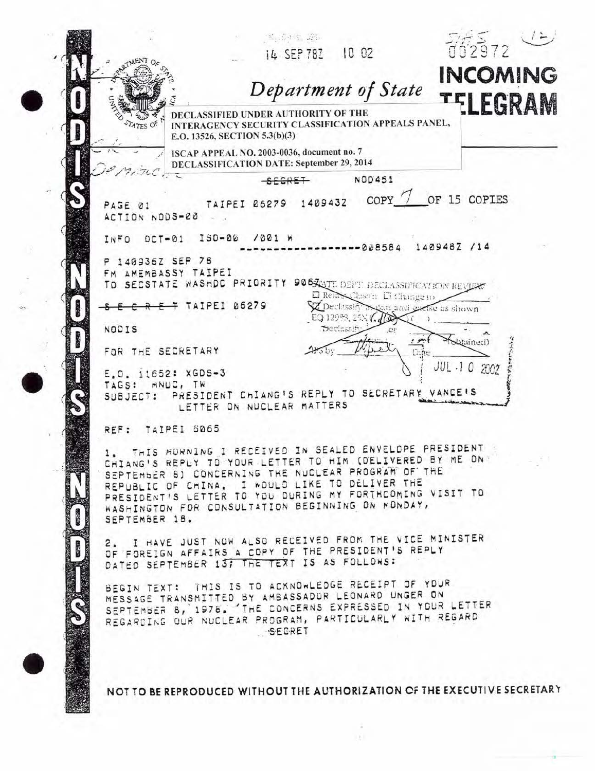|                               | Department of State                                                                                                        | <b>INCOMING</b>        |
|-------------------------------|----------------------------------------------------------------------------------------------------------------------------|------------------------|
| ATES OF                       | DECLASSIFIED UNDER AUTHORITY OF THE<br>INTERAGENCY SECURITY CLASSIFICATION APPEALS PANEL,<br>E.O. 13526, SECTION 5.3(b)(3) | TELEGRAM               |
|                               | ISCAP APPEAL NO. 2003-0036, document no. 7<br>DECLASSIFICATION DATE: September 29, 2014                                    |                        |
|                               | <b>NOD451</b>                                                                                                              |                        |
| PAGE 01<br>ACTION NODS-00     | TAIPEI 06279 1409432                                                                                                       | COPY / OF 15 COPIES    |
| $DCT - 01$<br>INFO            | $150 - 06$<br>$1001$ M                                                                                                     |                        |
| 140936Z SEP 78                | $-0.8584$                                                                                                                  | 140948Z /14            |
| FM AMEMBASSY TAIPEI           |                                                                                                                            |                        |
|                               | TO SECSTATE WASHDC PRIORITY 9065 ANTE DEPT. DECLASSIFICATION REVIEW                                                        |                        |
|                               | D Reim Classin D Change to<br>TAIPEI 06279<br><b>V</b> Declassify<br>EQ 12935, 25N (10                                     | gan and extre as shown |
| NODIS                         | Decinssi                                                                                                                   |                        |
| FOR THE SECRETARY             |                                                                                                                            | (butained)             |
| E.O. 11652: XGDS-3            |                                                                                                                            | JUL-10 2002            |
| MNUC, TW<br>TAGS:<br>SUBJECT: | PRESIDENT CHIANG'S REPLY TO SECRETARY VANCE'S                                                                              |                        |
|                               | LETTER ON NUCLEAR MATTERS                                                                                                  |                        |
| TAIPEI 6065<br>REF:           |                                                                                                                            |                        |
|                               |                                                                                                                            |                        |
|                               | THIS MORNING I RECEIVED IN SEALED ENVELOPE PRESIDENT<br>CHIANG'S REPLY TO YOUR LETTER TO HIM (DELIVERED BY ME ON!          |                        |
|                               | SEPTEMBER 8) CONCERNING THE NUCLEAR PROGRAM OF THE                                                                         |                        |
|                               | REPUBLIC OF CHINA. I WOULD LIKE TO DELIVER THE<br>PRESIDENT'S LETTER TO YOU DURING MY FORTHCOMING VISIT TO                 |                        |
|                               | WASHINGTON FOR CONSULTATION BEGINNING ON MONDAY,                                                                           |                        |
| SEPTEMBER 18.                 |                                                                                                                            |                        |
|                               | 2. I HAVE JUST NOW ALSO RECEIVED FROM THE VICE MINISTER                                                                    |                        |
|                               | OF FOREIGN AFFAIRS A COPY OF THE PRESIDENT'S REPLY<br>DATED SEPTEMBER 13; THE TEXT IS AS FOLLOWS:                          |                        |
|                               |                                                                                                                            |                        |
|                               | BEGIN TEXT: THIS IS TO ACKNOWLEDGE RECEIPT OF YOUR                                                                         |                        |
|                               | MESSAGE TRANSMITTED BY AMBASSADOR LEONARD UNGER ON<br>SEPTEMBER 8, 1978. THE CONCERNS EXPRESSED IN YOUR LETTER             |                        |
|                               | REGARDING OUR NUCLEAR PROGRAM, PARTICULARLY WITH REGARD<br>SEGRET                                                          |                        |

NOT TO BE REPRODUCED WITHOUT THE AUTHORIZATION OF THE EXECUTIVE SECRETARY

 $\sim$  $\pm\pm1$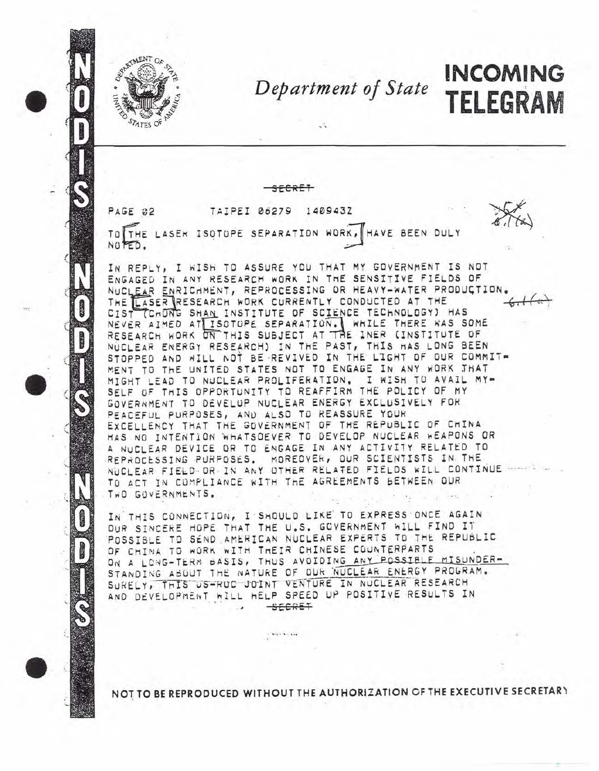

## Department of State

**INCOMING** 

TELEGRAM

TAIPEI 06279 1409432  $PAGE$   $22$ 

TO THE LASER ISOTOPE SEPARATION WORK, HAVE BEEN DULY NOTED.

IN REPLY, I WISH TO ASSURE YOU THAT MY GOVERNMENT IS NOT ENGAGED IN ANY RESEARCH WORK IN THE SENSITIVE FIELDS OF NUCLEAR ENRICHMENT, REPROCESSING OR HEAVY-WATER PRODUCTION THE LASER RESEARCH WORK CURRENTLY CONDUCTED AT THE CIST (CHONG SHAN INSTITUTE OF SCIENCE TECHNOLOGY) HAS NEVER AIMED AT ISOTUPE SEPARATION. WHILE THERE WAS SOME<br>RESEARCH WORK ON THIS SUBJECT AT THE INER (INSTITUTE OF NUCLEAR ENERGY RESEARCH) IN THE PAST, THIS HAS LONG BEEN STOPPED AND WILL NOT BE REVIVED IN THE LIGHT OF OUR COMMIT-MENT TO THE UNITED STATES NOT TO ENGAGE IN ANY WORK JHAT MIGHT LEAD TO NUCLEAR PROLIFERATION. I WISH TO AVAIL MY-SELF OF THIS OPPORTUNITY TO REAFFIRM THE POLICY OF MY GOVERNMENT TO DEVELUP NUCLEAR ENERGY EXCLUSIVELY FOR PEACEFUL PURPOSES, AND ALSO TO REASSURE YOUR EXCELLENCY THAT THE GOVERNMENT OF THE REPUBLIC OF CHINA HAS NO INTENTION WHATSOEVER TO DEVELOP NUCLEAR WEAPONS OR A NUCLEAR DEVICE OR TO ENGAGE IN ANY ACTIVITY RELATED TO REPROCESSING PURPOSES. MOREOVER, OUR SCIENTISTS IN THE NUCLEAR FIELD OR IN ANY OTHER RELATED FIELDS WILL CONTINUE TO ACT IN COMPLIANCE WITH THE AGREEMENTS BETWEEN OUR TWO GOVERNMENTS.

IN THIS CONNECTION, I SHOULD LIKE TO EXPRESS ONCE AGAIN OUR SINCERE HOPE THAT THE U.S. GOVERNMENT WILL FIND IT POSSIBLE TO SEND AMERICAN NUCLEAR EXPERTS TO THE REPUBLIC OF CHINA TO WORK WITH THEIR CHINESE COUNTERPARTS ON A LONG-TERM BASIS, THUS AVOIDING ANY POSSIBLE MISUNDER-STANDING ABOUT THE NATURE OF OUR NUCLEAR ENERGY PROGRAM. SURELY, THIS US-RUC JOINT VENTURE IN NUCLEAR RESEARCH AND DEVELOPMENT WILL HELP SPEED UP POSITIVE RESULTS IN  $-SEERET$ 

 $\mathbb{C}$  was a second

NOT TO BE REPRODUCED WITHOUT THE AUTHORIZATION OF THE EXECUTIVE SECRETARY